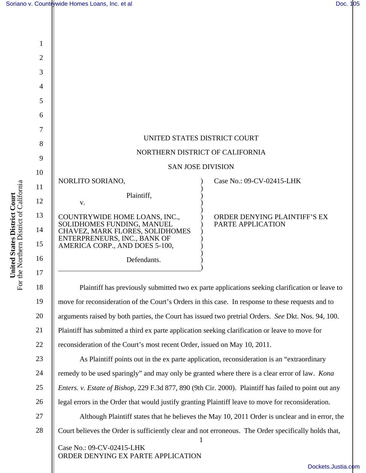